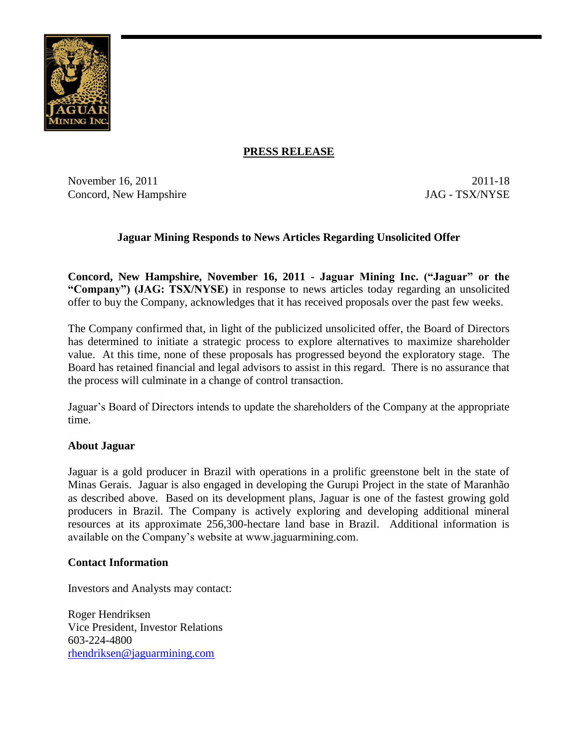

## **PRESS RELEASE**

November 16, 2011 2011-18 Concord, New Hampshire JAG - TSX/NYSE

## **Jaguar Mining Responds to News Articles Regarding Unsolicited Offer**

**Concord, New Hampshire, November 16, 2011 - Jaguar Mining Inc. ("Jaguar" or the "Company") (JAG: TSX/NYSE)** in response to news articles today regarding an unsolicited offer to buy the Company, acknowledges that it has received proposals over the past few weeks.

The Company confirmed that, in light of the publicized unsolicited offer, the Board of Directors has determined to initiate a strategic process to explore alternatives to maximize shareholder value. At this time, none of these proposals has progressed beyond the exploratory stage. The Board has retained financial and legal advisors to assist in this regard. There is no assurance that the process will culminate in a change of control transaction.

Jaguar's Board of Directors intends to update the shareholders of the Company at the appropriate time.

## **About Jaguar**

Jaguar is a gold producer in Brazil with operations in a prolific greenstone belt in the state of Minas Gerais. Jaguar is also engaged in developing the Gurupi Project in the state of Maranhão as described above. Based on its development plans, Jaguar is one of the fastest growing gold producers in Brazil. The Company is actively exploring and developing additional mineral resources at its approximate 256,300-hectare land base in Brazil. Additional information is available on the Company's website at www.jaguarmining.com.

## **Contact Information**

Investors and Analysts may contact:

Roger Hendriksen Vice President, Investor Relations 603-224-4800 [rhendriksen@jaguarmining.com](mailto:rhendriksen@jaguarmining.com)